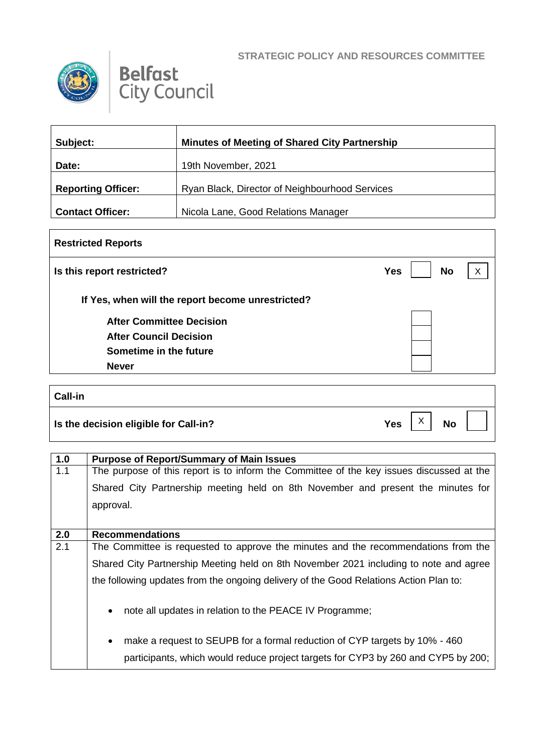



| Subject:                  | <b>Minutes of Meeting of Shared City Partnership</b> |
|---------------------------|------------------------------------------------------|
| Date:                     | 19th November, 2021                                  |
| <b>Reporting Officer:</b> | Ryan Black, Director of Neighbourhood Services       |
| <b>Contact Officer:</b>   | Nicola Lane, Good Relations Manager                  |

| <b>Restricted Reports</b>                         |                         |   |  |
|---------------------------------------------------|-------------------------|---|--|
| Is this report restricted?                        | <b>No</b><br><b>Yes</b> | X |  |
| If Yes, when will the report become unrestricted? |                         |   |  |
| <b>After Committee Decision</b>                   |                         |   |  |
| <b>After Council Decision</b>                     |                         |   |  |
| Sometime in the future                            |                         |   |  |
| <b>Never</b>                                      |                         |   |  |

| Call-in                                       |            |              |           |  |
|-----------------------------------------------|------------|--------------|-----------|--|
| $\vert$ Is the decision eligible for Call-in? | <b>Yes</b> | $\checkmark$ | <b>No</b> |  |

| 1.0 | <b>Purpose of Report/Summary of Main Issues</b>                                          |
|-----|------------------------------------------------------------------------------------------|
| 1.1 | The purpose of this report is to inform the Committee of the key issues discussed at the |
|     | Shared City Partnership meeting held on 8th November and present the minutes for         |
|     | approval.                                                                                |
|     |                                                                                          |
| 2.0 | <b>Recommendations</b>                                                                   |
| 2.1 | The Committee is requested to approve the minutes and the recommendations from the       |
|     | Shared City Partnership Meeting held on 8th November 2021 including to note and agree    |
|     | the following updates from the ongoing delivery of the Good Relations Action Plan to:    |
|     |                                                                                          |
|     | note all updates in relation to the PEACE IV Programme;<br>$\bullet$                     |
|     |                                                                                          |
|     | make a request to SEUPB for a formal reduction of CYP targets by 10% - 460<br>$\bullet$  |
|     | participants, which would reduce project targets for CYP3 by 260 and CYP5 by 200;        |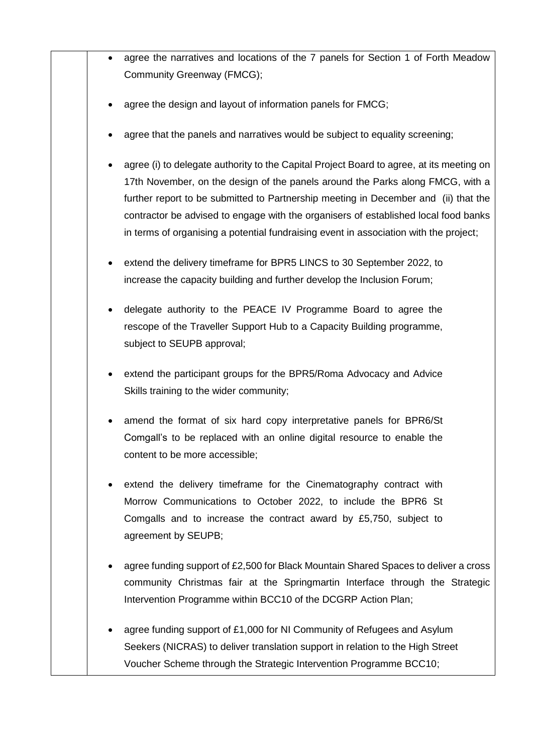|  | agree the narratives and locations of the 7 panels for Section 1 of Forth Meadow                                                                                                                                                                                                                                                                                                                                                                  |
|--|---------------------------------------------------------------------------------------------------------------------------------------------------------------------------------------------------------------------------------------------------------------------------------------------------------------------------------------------------------------------------------------------------------------------------------------------------|
|  | Community Greenway (FMCG);                                                                                                                                                                                                                                                                                                                                                                                                                        |
|  | agree the design and layout of information panels for FMCG;                                                                                                                                                                                                                                                                                                                                                                                       |
|  | agree that the panels and narratives would be subject to equality screening;                                                                                                                                                                                                                                                                                                                                                                      |
|  | agree (i) to delegate authority to the Capital Project Board to agree, at its meeting on<br>17th November, on the design of the panels around the Parks along FMCG, with a<br>further report to be submitted to Partnership meeting in December and (ii) that the<br>contractor be advised to engage with the organisers of established local food banks<br>in terms of organising a potential fundraising event in association with the project; |
|  | extend the delivery timeframe for BPR5 LINCS to 30 September 2022, to<br>increase the capacity building and further develop the Inclusion Forum;                                                                                                                                                                                                                                                                                                  |
|  | delegate authority to the PEACE IV Programme Board to agree the<br>rescope of the Traveller Support Hub to a Capacity Building programme,<br>subject to SEUPB approval;                                                                                                                                                                                                                                                                           |
|  | extend the participant groups for the BPR5/Roma Advocacy and Advice<br>Skills training to the wider community;                                                                                                                                                                                                                                                                                                                                    |
|  | amend the format of six hard copy interpretative panels for BPR6/St<br>Comgall's to be replaced with an online digital resource to enable the<br>content to be more accessible;                                                                                                                                                                                                                                                                   |
|  | extend the delivery timeframe for the Cinematography contract with<br>Morrow Communications to October 2022, to include the BPR6 St<br>Comgalls and to increase the contract award by £5,750, subject to<br>agreement by SEUPB;                                                                                                                                                                                                                   |
|  | agree funding support of £2,500 for Black Mountain Shared Spaces to deliver a cross<br>community Christmas fair at the Springmartin Interface through the Strategic<br>Intervention Programme within BCC10 of the DCGRP Action Plan;                                                                                                                                                                                                              |
|  | agree funding support of £1,000 for NI Community of Refugees and Asylum<br>Seekers (NICRAS) to deliver translation support in relation to the High Street<br>Voucher Scheme through the Strategic Intervention Programme BCC10;                                                                                                                                                                                                                   |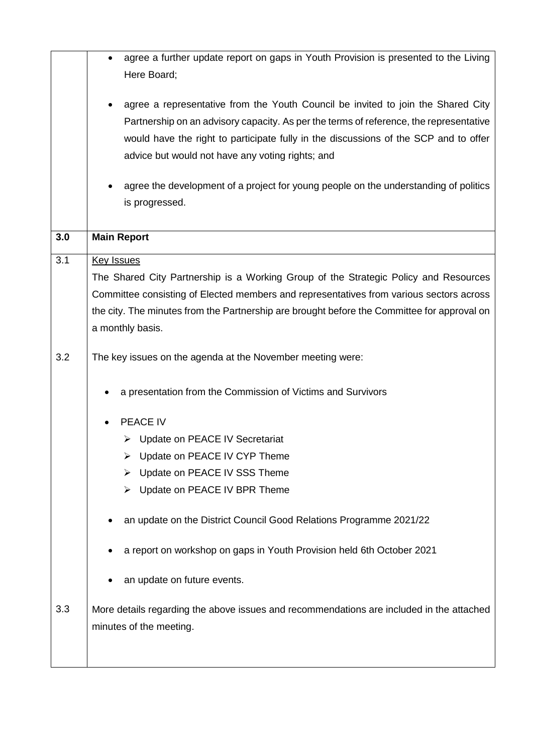|     | agree a further update report on gaps in Youth Provision is presented to the Living                                                                                                                                                                                                                                    |
|-----|------------------------------------------------------------------------------------------------------------------------------------------------------------------------------------------------------------------------------------------------------------------------------------------------------------------------|
|     | Here Board;                                                                                                                                                                                                                                                                                                            |
|     | agree a representative from the Youth Council be invited to join the Shared City<br>Partnership on an advisory capacity. As per the terms of reference, the representative<br>would have the right to participate fully in the discussions of the SCP and to offer<br>advice but would not have any voting rights; and |
|     |                                                                                                                                                                                                                                                                                                                        |
|     | agree the development of a project for young people on the understanding of politics                                                                                                                                                                                                                                   |
|     | is progressed.                                                                                                                                                                                                                                                                                                         |
| 3.0 | <b>Main Report</b>                                                                                                                                                                                                                                                                                                     |
| 3.1 | <b>Key Issues</b>                                                                                                                                                                                                                                                                                                      |
|     | The Shared City Partnership is a Working Group of the Strategic Policy and Resources                                                                                                                                                                                                                                   |
|     | Committee consisting of Elected members and representatives from various sectors across                                                                                                                                                                                                                                |
|     | the city. The minutes from the Partnership are brought before the Committee for approval on                                                                                                                                                                                                                            |
|     | a monthly basis.                                                                                                                                                                                                                                                                                                       |
| 3.2 | The key issues on the agenda at the November meeting were:                                                                                                                                                                                                                                                             |
|     | a presentation from the Commission of Victims and Survivors                                                                                                                                                                                                                                                            |
|     | PEACE IV                                                                                                                                                                                                                                                                                                               |
|     | > Update on PEACE IV Secretariat                                                                                                                                                                                                                                                                                       |
|     | Update on PEACE IV CYP Theme                                                                                                                                                                                                                                                                                           |
|     | Update on PEACE IV SSS Theme                                                                                                                                                                                                                                                                                           |
|     | Update on PEACE IV BPR Theme                                                                                                                                                                                                                                                                                           |
|     | an update on the District Council Good Relations Programme 2021/22                                                                                                                                                                                                                                                     |
|     | a report on workshop on gaps in Youth Provision held 6th October 2021                                                                                                                                                                                                                                                  |
|     | an update on future events.                                                                                                                                                                                                                                                                                            |
| 3.3 | More details regarding the above issues and recommendations are included in the attached                                                                                                                                                                                                                               |
|     | minutes of the meeting.                                                                                                                                                                                                                                                                                                |
|     |                                                                                                                                                                                                                                                                                                                        |
|     |                                                                                                                                                                                                                                                                                                                        |